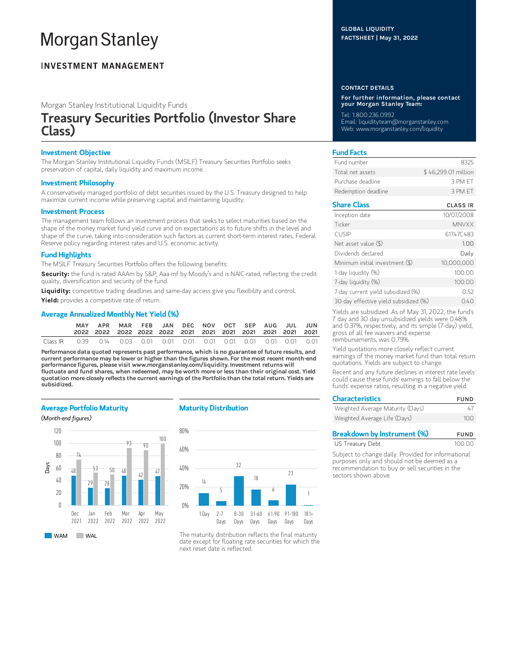# **Morgan Stanley**

# **INVESTMENT MANAGEMENT**

Morgan Stanley Institutional Liquidity Funds

# Treasury Securities Portfolio (Investor Share Class)

# Investment Objective

The Morgan Stanley Institutional Liquidity Funds (MSILF) Treasury Securities Portfolio seeks preservation of capital, daily liquidity and maximum income.

#### Investment Philosophy

A conservatively managed portfolio of debt securities issued by the U.S. Treasury designed to help maximize current income while preserving capital and maintaining liquidity.

#### Investment Process

The management team follows an investment process that seeks to select maturities based on the shape of the money market fund yield curve and on expectations as to future shifts in the level and shape of the curve, taking into consideration such factors as current short-term interest rates, Federal Reserve policy regarding interest rates and U.S. economic activity.

# Fund Highlights

The MSILF Treasury Securities Portfolio offers the following benefits:

Security: the fund is rated AAAm by S&P, Aaa-mf by Moody's and is NAIC-rated, reflecting the credit quality, diversification and security of the fund.

Liquidity: competitive trading deadlines and same-day access give you flexibility and control.

Yield: provides a competitive rate of return.

# Average Annualized Monthly Net Yield (%)

|          |      | APR |  | MAR FEB JAN DEC NOV OCT SEP AUG JUL JUN |  |  |  |  |
|----------|------|-----|--|-----------------------------------------|--|--|--|--|
| Class IR | O 39 |     |  |                                         |  |  |  |  |

Performance data quoted represents past performance, which is no guarantee of future results, and current performance may be lower or higher than the figures shown. For the most recent month-end performance figures, please visit www.morganstanley.com/liquidity. Investment returns will fluctuate and fund shares, when redeemed, may be worth more or less than their original cost. Yield quotation more closely reflects the current earnings of the Portfolio than the total return. Yields are subsidized.

# Average Portfolio Maturity

#### (Month-end figures)



# Maturity Distribution



The maturity distribution reflects the final maturity date except for floating rate securities for which the next reset date is reflected.

## GLOBAL LIQUIDITY FACTSHEET | May 31, 2022

#### CONTACT DETAILS

For further information, please contact your Morgan Stanley Team:

Tel: 1.800.236.0992 Email: liquidityteam@morganstanley.com Web: www.morganstanley.com/liquidity

# Fund Facts

| Fund number         | 8325                |
|---------------------|---------------------|
| Total net assets    | \$46,299.01 million |
| Purchase deadline   | 3 PM FT             |
| Redemption deadline | 3 PM FT             |

## Share Class CLASS IR

| Inception date                        | 10/07/2008   |
|---------------------------------------|--------------|
| Ticker                                | <b>MNVXX</b> |
| <b>CUSIP</b>                          | 61747C483    |
| Net asset value (\$)                  | 1.00         |
| Dividends declared                    | Daily        |
| Minimum initial investment (\$)       | 10,000,000   |
| 1-day liquidity (%)                   | 100.00       |
| 7-day liquidity (%)                   | 100.00       |
| 7-day current yield subsidized (%)    | 0.52         |
| 30-day effective yield subsidized (%) | 0.40         |

Yields are subsidized. As of May 31, 2022, the fund's 7 day and 30 day unsubsidized yields were 0.48% and 0.37%, respectively, and its simple (7-day) yield, gross of all fee waivers and expense reimbursements, was 0.79%.

Yield quotations more closely reflect current earnings of the money market fund than total return quotations. Yields are subject to change.

Recent and any future declines in interest rate levels could cause these funds' earnings to fall below the funds' expense ratios, resulting in a negative yield.

| <b>Characteristics</b>           | <b>FUND</b> |  |  |
|----------------------------------|-------------|--|--|
| Weighted Average Maturity (Days) | 47          |  |  |
| Weighted Average Life (Days)     | 100         |  |  |

| <b>Breakdown by Instrument (%)</b> | <b>FUND</b> |
|------------------------------------|-------------|
| US Treasury Debt                   | 100.00      |

Subject to change daily. Provided for informational purposes only and should not be deemed as a recommendation to buy or sell securities in the sectors shown above.